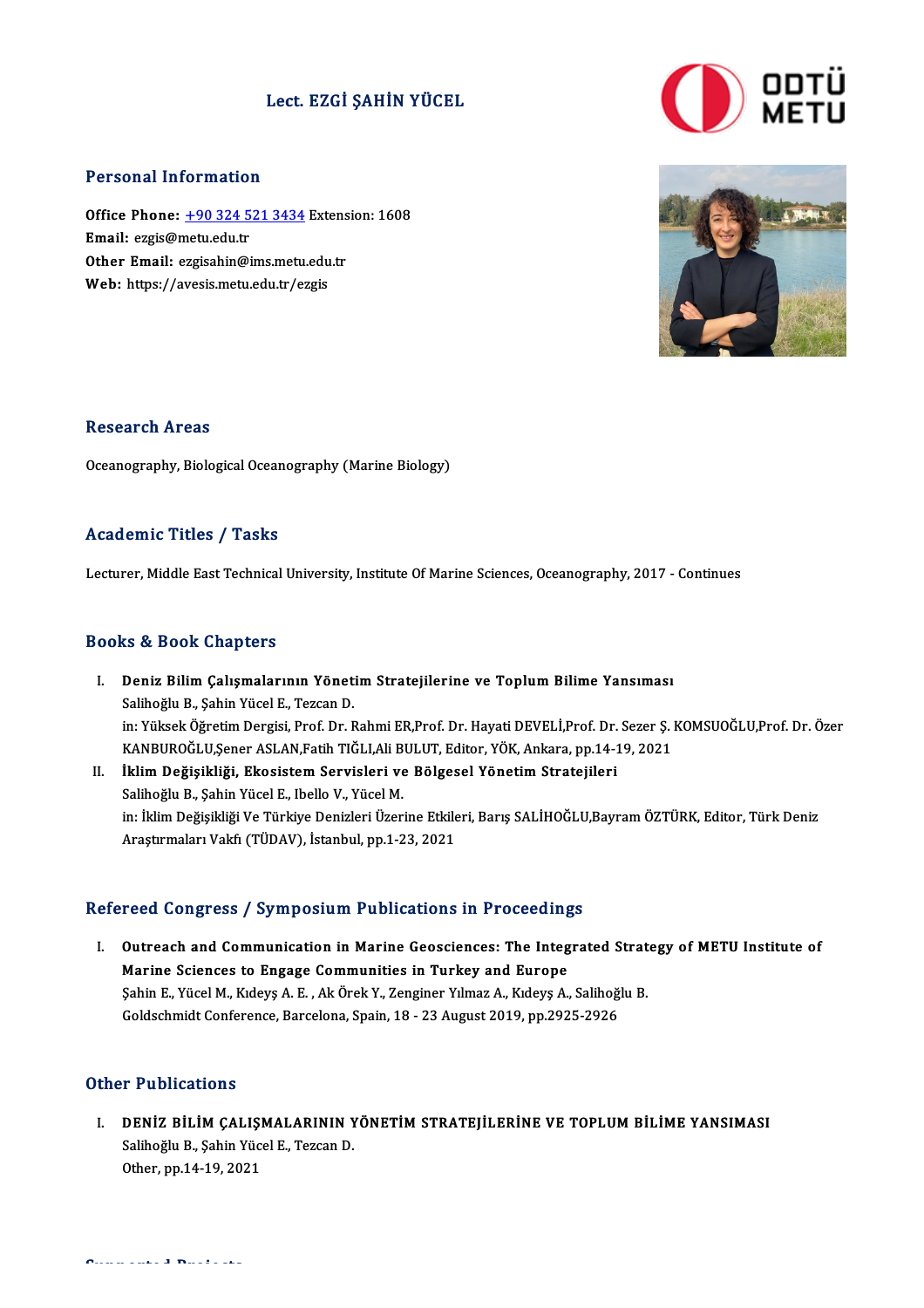## Lect. EZGİ ŞAHİN YÜCEL



#### Personal Information

Personal Information<br>Office Phone: <u>+90 324 521 3434</u> Extension: 1608<br>Email: ergic@mety.edy.tr office Phone: <u>+90 324 5</u><br>Email: ezgis@metu.edu.tr<br>Cther Email: ezgischin@i Office Phone: <u>+90 324 521 3434</u> Extens<br>Email: ezgis@metu.edu.tr<br>Other Email: [ezgisahin@ims.metu](tel:+90 324 521 3434).edu.tr Email: ezgis@metu.edu.tr<br>Other Email: ezgisahin@ims.metu.edu.tr<br>Web: https://avesis.metu.edu.tr/ezgis



#### **Research Areas**

Oceanography, Biological Oceanography (Marine Biology)

#### Academic Titles / Tasks

Lecturer, Middle East Technical University, Institute Of Marine Sciences, Oceanography, 2017 - Continues

#### Books&Book Chapters

- I. Deniz Bilim Çalışmalarının Yönetim Stratejilerine ve Toplum Bilime Yansıması Salihoğlu B., Şahin Yücel E., Tezcan D. Deniz Bilim Çalışmalarının Yönetim Stratejilerine ve Toplum Bilime Yansıması<br>Salihoğlu B., Şahin Yücel E., Tezcan D.<br>in: Yüksek Öğretim Dergisi, Prof. Dr. Rahmi ER,Prof. Dr. Hayati DEVELİ,Prof. Dr. Sezer Ş. KOMSUOĞLU,Prof. Salihoğlu B., Şahin Yücel E., Tezcan D.<br>in: Yüksek Öğretim Dergisi, Prof. Dr. Rahmi ER,Prof. Dr. Hayati DEVELİ,Prof. Dr. Sezer Ş. J<br>KANBUROĞLU,Şener ASLAN,Fatih TİĞLI,Ali BULUT, Editor, YÖK, Ankara, pp.14-19, 2021<br>İklim De in: Yüksek Öğretim Dergisi, Prof. Dr. Rahmi ER,Prof. Dr. Hayati DEVELİ,Prof. Dr.<br>KANBUROĞLU,Şener ASLAN,Fatih TİĞLI,Ali BULUT, Editor, YÖK, Ankara, pp.14-1<br>II. İklim Değişikliği, Ekosistem Servisleri ve Bölgesel Yönetim St
- KANBUROĞLU,Şener ASLAN,Fatih TIĞLI,Ali B<br>İklim Değişikliği, Ekosistem Servisleri ve<br>Salihoğlu B., Şahin Yücel E., Ibello V., Yücel M.<br>in: İklim Değişikliği Ve Türkiye Denizleri Üzer Salihoğlu B., Şahin Yücel E., Ibello V., Yücel M.<br>in: İklim Değişikliği Ve Türkiye Denizleri Üzerine Etkileri, Barış SALİHOĞLU,Bayram ÖZTÜRK, Editor, Türk Deniz Araştırmaları Vakfı (TÜDAV), İstanbul, pp.1-23, 2021

### Refereed Congress / Symposium Publications in Proceedings

efereed Congress / Symposium Publications in Proceedings<br>I. Outreach and Communication in Marine Geosciences: The Integrated Strategy of METU Institute of<br>Marine Sciences to Engage Communities in Turkey and Europe Noon Congress f by inpostant a ustroations in a recovering<br>Outreach and Communication in Marine Geosciences: The Integ<br>Marine Sciences to Engage Communities in Turkey and Europe<br>Sebin E. Viicel M. Kidew A. E., Ak Orek V. Z Outreach and Communication in Marine Geosciences: The Integrated Strat<br>Marine Sciences to Engage Communities in Turkey and Europe<br>Şahin E., Yücel M., Kıdeyş A. E. , Ak Örek Y., Zenginer Yılmaz A., Kıdeyş A., Salihoğlu B.<br>C Marine Sciences to Engage Communities in Turkey and Europe<br>Şahin E., Yücel M., Kıdeyş A. E. , Ak Örek Y., Zenginer Yılmaz A., Kıdeyş A., Salihoğ<br>Goldschmidt Conference, Barcelona, Spain, 18 - 23 August 2019, pp.2925-2926 Goldschmidt Conference, Barcelona, Spain, 18 - 23 August 2019, pp.2925-2926<br>Other Publications

ther Publications<br>I. DENİZ BİLİM ÇALIŞMALARININ YÖNETİM STRATEJİLERİNE VE TOPLUM BİLİME YANSIMASI<br>Salibeğlu B. Sabin Vüsal E. Texçen D 1 1 denoderens<br>DENİZ BİLİM ÇALIŞMALARININ Y<br>Salihoğlu B., Şahin Yücel E., Tezcan D.<br>Other. pp.14.19. 2021 DENİZ BİLİM ÇALIŞI<br>Salihoğlu B., Şahin Yüce<br>Other, pp.14-19, 2021